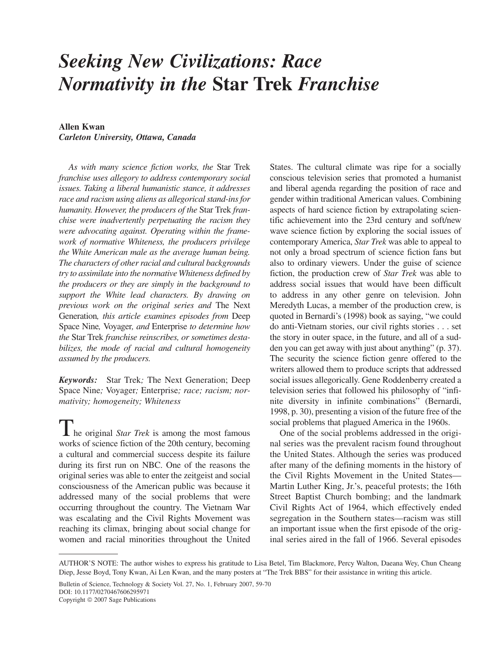## *Seeking New Civilizations: Race Normativity in the* **Star Trek** *Franchise*

## **Allen Kwan** *Carleton University, Ottawa, Canada*

*As with many science fiction works, the* Star Trek *franchise uses allegory to address contemporary social issues. Taking a liberal humanistic stance, it addresses race and racism using aliens as allegorical stand-ins for humanity. However, the producers of the* Star Trek *franchise were inadvertently perpetuating the racism they were advocating against. Operating within the framework of normative Whiteness, the producers privilege the White American male as the average human being. The characters of other racial and cultural backgrounds try to assimilate into the normative Whiteness defined by the producers or they are simply in the background to support the White lead characters. By drawing on previous work on the original series and* The Next Generation*, this article examines episodes from* Deep Space Nine*,* Voyager*, and* Enterprise *to determine how the* Star Trek *franchise reinscribes, or sometimes destabilizes, the mode of racial and cultural homogeneity assumed by the producers.*

*Keywords:* Star Trek*;* The Next Generation; Deep Space Nine*;* Voyager*;* Enterprise*; race; racism; normativity; homogeneity; Whiteness*

**L** he original *Star Trek* is among the most famous works of science fiction of the 20th century, becoming a cultural and commercial success despite its failure during its first run on NBC. One of the reasons the original series was able to enter the zeitgeist and social consciousness of the American public was because it addressed many of the social problems that were occurring throughout the country. The Vietnam War was escalating and the Civil Rights Movement was reaching its climax, bringing about social change for women and racial minorities throughout the United States. The cultural climate was ripe for a socially conscious television series that promoted a humanist and liberal agenda regarding the position of race and gender within traditional American values. Combining aspects of hard science fiction by extrapolating scientific achievement into the 23rd century and soft/new wave science fiction by exploring the social issues of contemporary America, *Star Trek* was able to appeal to not only a broad spectrum of science fiction fans but also to ordinary viewers. Under the guise of science fiction, the production crew of *Star Trek* was able to address social issues that would have been difficult to address in any other genre on television. John Meredyth Lucas, a member of the production crew, is quoted in Bernardi's (1998) book as saying, "we could do anti-Vietnam stories, our civil rights stories . . . set the story in outer space, in the future, and all of a sudden you can get away with just about anything" (p. 37). The security the science fiction genre offered to the writers allowed them to produce scripts that addressed social issues allegorically. Gene Roddenberry created a television series that followed his philosophy of "infinite diversity in infinite combinations" (Bernardi, 1998, p. 30), presenting a vision of the future free of the social problems that plagued America in the 1960s.

One of the social problems addressed in the original series was the prevalent racism found throughout the United States. Although the series was produced after many of the defining moments in the history of the Civil Rights Movement in the United States— Martin Luther King, Jr.'s, peaceful protests; the 16th Street Baptist Church bombing; and the landmark Civil Rights Act of 1964, which effectively ended segregation in the Southern states—racism was still an important issue when the first episode of the original series aired in the fall of 1966. Several episodes

Bulletin of Science, Technology & Society Vol. 27, No. 1, February 2007, 59-70 DOI: 10.1177/0270467606295971 Copyright © 2007 Sage Publications

AUTHOR'S NOTE: The author wishes to express his gratitude to Lisa Betel, Tim Blackmore, Percy Walton, Daeana Wey, Chun Cheang Diep, Jesse Boyd, Tony Kwan, Ai Len Kwan, and the many posters at "The Trek BBS" for their assistance in writing this article.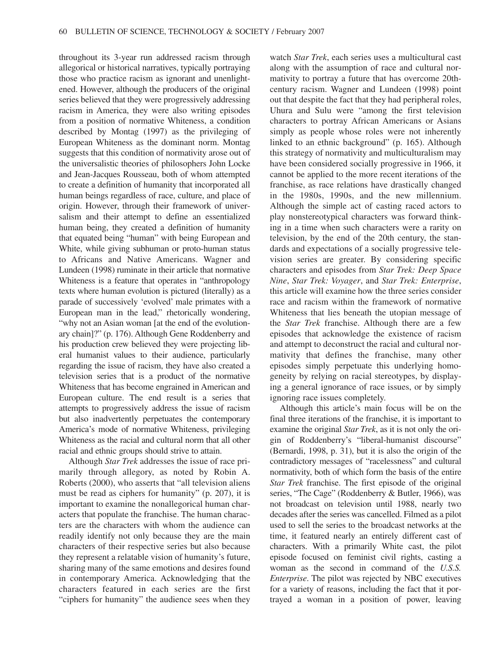throughout its 3-year run addressed racism through allegorical or historical narratives, typically portraying those who practice racism as ignorant and unenlightened. However, although the producers of the original series believed that they were progressively addressing racism in America, they were also writing episodes from a position of normative Whiteness, a condition described by Montag (1997) as the privileging of European Whiteness as the dominant norm. Montag suggests that this condition of normativity arose out of the universalistic theories of philosophers John Locke and Jean-Jacques Rousseau, both of whom attempted to create a definition of humanity that incorporated all human beings regardless of race, culture, and place of origin. However, through their framework of universalism and their attempt to define an essentialized human being, they created a definition of humanity that equated being "human" with being European and White, while giving subhuman or proto-human status to Africans and Native Americans. Wagner and Lundeen (1998) ruminate in their article that normative Whiteness is a feature that operates in "anthropology texts where human evolution is pictured (literally) as a parade of successively 'evolved' male primates with a European man in the lead," rhetorically wondering, "why not an Asian woman [at the end of the evolutionary chain]?" (p. 176). Although Gene Roddenberry and his production crew believed they were projecting liberal humanist values to their audience, particularly regarding the issue of racism, they have also created a television series that is a product of the normative Whiteness that has become engrained in American and European culture. The end result is a series that attempts to progressively address the issue of racism but also inadvertently perpetuates the contemporary America's mode of normative Whiteness, privileging Whiteness as the racial and cultural norm that all other racial and ethnic groups should strive to attain.

Although *Star Trek* addresses the issue of race primarily through allegory, as noted by Robin A. Roberts (2000), who asserts that "all television aliens must be read as ciphers for humanity" (p. 207), it is important to examine the nonallegorical human characters that populate the franchise. The human characters are the characters with whom the audience can readily identify not only because they are the main characters of their respective series but also because they represent a relatable vision of humanity's future, sharing many of the same emotions and desires found in contemporary America. Acknowledging that the characters featured in each series are the first "ciphers for humanity" the audience sees when they

watch *Star Trek*, each series uses a multicultural cast along with the assumption of race and cultural normativity to portray a future that has overcome 20thcentury racism. Wagner and Lundeen (1998) point out that despite the fact that they had peripheral roles, Uhura and Sulu were "among the first television characters to portray African Americans or Asians simply as people whose roles were not inherently linked to an ethnic background" (p. 165). Although this strategy of normativity and multiculturalism may have been considered socially progressive in 1966, it cannot be applied to the more recent iterations of the franchise, as race relations have drastically changed in the 1980s, 1990s, and the new millennium. Although the simple act of casting raced actors to play nonstereotypical characters was forward thinking in a time when such characters were a rarity on television, by the end of the 20th century, the standards and expectations of a socially progressive television series are greater. By considering specific characters and episodes from *Star Trek: Deep Space Nine*, *Star Trek: Voyager*, and *Star Trek: Enterprise*, this article will examine how the three series consider race and racism within the framework of normative Whiteness that lies beneath the utopian message of the *Star Trek* franchise. Although there are a few episodes that acknowledge the existence of racism and attempt to deconstruct the racial and cultural normativity that defines the franchise, many other episodes simply perpetuate this underlying homogeneity by relying on racial stereotypes, by displaying a general ignorance of race issues, or by simply ignoring race issues completely.

Although this article's main focus will be on the final three iterations of the franchise, it is important to examine the original *Star Trek*, as it is not only the origin of Roddenberry's "liberal-humanist discourse" (Bernardi, 1998, p. 31), but it is also the origin of the contradictory messages of "racelessness" and cultural normativity, both of which form the basis of the entire *Star Trek* franchise. The first episode of the original series, "The Cage" (Roddenberry & Butler, 1966), was not broadcast on television until 1988, nearly two decades after the series was cancelled. Filmed as a pilot used to sell the series to the broadcast networks at the time, it featured nearly an entirely different cast of characters. With a primarily White cast, the pilot episode focused on feminist civil rights, casting a woman as the second in command of the *U.S.S. Enterprise*. The pilot was rejected by NBC executives for a variety of reasons, including the fact that it portrayed a woman in a position of power, leaving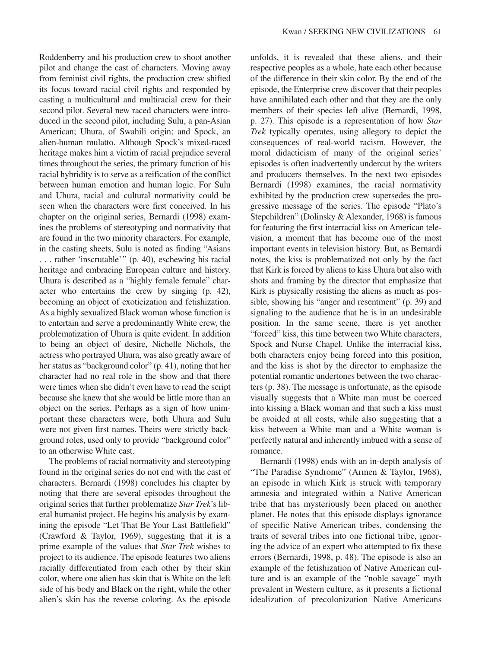Roddenberry and his production crew to shoot another pilot and change the cast of characters. Moving away from feminist civil rights, the production crew shifted its focus toward racial civil rights and responded by casting a multicultural and multiracial crew for their second pilot. Several new raced characters were introduced in the second pilot, including Sulu, a pan-Asian American; Uhura, of Swahili origin; and Spock, an alien-human mulatto. Although Spock's mixed-raced heritage makes him a victim of racial prejudice several times throughout the series, the primary function of his racial hybridity is to serve as a reification of the conflict between human emotion and human logic. For Sulu and Uhura, racial and cultural normativity could be seen when the characters were first conceived. In his chapter on the original series, Bernardi (1998) examines the problems of stereotyping and normativity that are found in the two minority characters. For example, in the casting sheets, Sulu is noted as finding "Asians . . . rather 'inscrutable'" (p. 40), eschewing his racial heritage and embracing European culture and history. Uhura is described as a "highly female female" character who entertains the crew by singing (p. 42), becoming an object of exoticization and fetishization. As a highly sexualized Black woman whose function is to entertain and serve a predominantly White crew, the problematization of Uhura is quite evident. In addition to being an object of desire, Nichelle Nichols, the actress who portrayed Uhura, was also greatly aware of her status as "background color" (p. 41), noting that her character had no real role in the show and that there were times when she didn't even have to read the script because she knew that she would be little more than an object on the series. Perhaps as a sign of how unimportant these characters were, both Uhura and Sulu were not given first names. Theirs were strictly background roles, used only to provide "background color" to an otherwise White cast.

The problems of racial normativity and stereotyping found in the original series do not end with the cast of characters. Bernardi (1998) concludes his chapter by noting that there are several episodes throughout the original series that further problematize *Star Trek*'s liberal humanist project. He begins his analysis by examining the episode "Let That Be Your Last Battlefield" (Crawford & Taylor, 1969), suggesting that it is a prime example of the values that *Star Trek* wishes to project to its audience. The episode features two aliens racially differentiated from each other by their skin color, where one alien has skin that is White on the left side of his body and Black on the right, while the other alien's skin has the reverse coloring. As the episode

unfolds, it is revealed that these aliens, and their respective peoples as a whole, hate each other because of the difference in their skin color. By the end of the episode, the Enterprise crew discover that their peoples have annihilated each other and that they are the only members of their species left alive (Bernardi, 1998, p. 27). This episode is a representation of how *Star Trek* typically operates, using allegory to depict the consequences of real-world racism. However, the moral didacticism of many of the original series' episodes is often inadvertently undercut by the writers and producers themselves. In the next two episodes Bernardi (1998) examines, the racial normativity exhibited by the production crew supersedes the progressive message of the series. The episode "Plato's Stepchildren" (Dolinsky & Alexander, 1968) is famous for featuring the first interracial kiss on American television, a moment that has become one of the most important events in television history. But, as Bernardi notes, the kiss is problematized not only by the fact that Kirk is forced by aliens to kiss Uhura but also with shots and framing by the director that emphasize that Kirk is physically resisting the aliens as much as possible, showing his "anger and resentment" (p. 39) and signaling to the audience that he is in an undesirable position. In the same scene, there is yet another "forced" kiss, this time between two White characters, Spock and Nurse Chapel. Unlike the interracial kiss, both characters enjoy being forced into this position, and the kiss is shot by the director to emphasize the potential romantic undertones between the two characters (p. 38). The message is unfortunate, as the episode visually suggests that a White man must be coerced into kissing a Black woman and that such a kiss must be avoided at all costs, while also suggesting that a kiss between a White man and a White woman is perfectly natural and inherently imbued with a sense of romance.

Bernardi (1998) ends with an in-depth analysis of "The Paradise Syndrome" (Armen & Taylor, 1968), an episode in which Kirk is struck with temporary amnesia and integrated within a Native American tribe that has mysteriously been placed on another planet. He notes that this episode displays ignorance of specific Native American tribes, condensing the traits of several tribes into one fictional tribe, ignoring the advice of an expert who attempted to fix these errors (Bernardi, 1998, p. 48). The episode is also an example of the fetishization of Native American culture and is an example of the "noble savage" myth prevalent in Western culture, as it presents a fictional idealization of precolonization Native Americans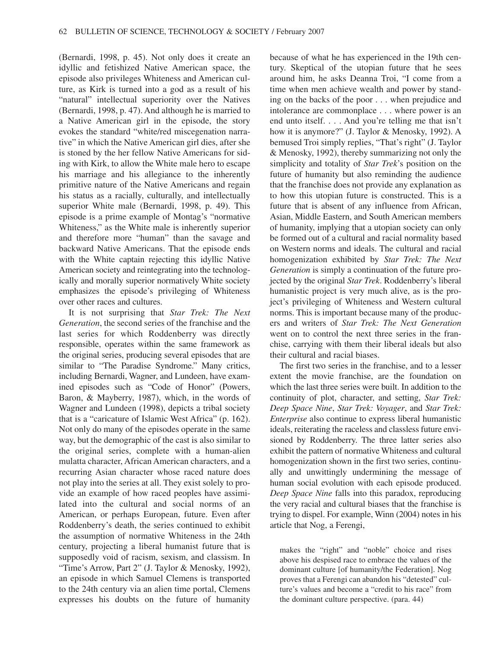(Bernardi, 1998, p. 45). Not only does it create an idyllic and fetishized Native American space, the episode also privileges Whiteness and American culture, as Kirk is turned into a god as a result of his "natural" intellectual superiority over the Natives (Bernardi, 1998, p. 47). And although he is married to a Native American girl in the episode, the story evokes the standard "white/red miscegenation narrative" in which the Native American girl dies, after she is stoned by the her fellow Native Americans for siding with Kirk, to allow the White male hero to escape his marriage and his allegiance to the inherently primitive nature of the Native Americans and regain his status as a racially, culturally, and intellectually superior White male (Bernardi, 1998, p. 49). This episode is a prime example of Montag's "normative Whiteness," as the White male is inherently superior and therefore more "human" than the savage and backward Native Americans. That the episode ends with the White captain rejecting this idyllic Native American society and reintegrating into the technologically and morally superior normatively White society emphasizes the episode's privileging of Whiteness over other races and cultures.

It is not surprising that *Star Trek: The Next Generation*, the second series of the franchise and the last series for which Roddenberry was directly responsible, operates within the same framework as the original series, producing several episodes that are similar to "The Paradise Syndrome." Many critics, including Bernardi, Wagner, and Lundeen, have examined episodes such as "Code of Honor" (Powers, Baron, & Mayberry, 1987), which, in the words of Wagner and Lundeen (1998), depicts a tribal society that is a "caricature of Islamic West Africa" (p. 162). Not only do many of the episodes operate in the same way, but the demographic of the cast is also similar to the original series, complete with a human-alien mulatta character, African American characters, and a recurring Asian character whose raced nature does not play into the series at all. They exist solely to provide an example of how raced peoples have assimilated into the cultural and social norms of an American, or perhaps European, future. Even after Roddenberry's death, the series continued to exhibit the assumption of normative Whiteness in the 24th century, projecting a liberal humanist future that is supposedly void of racism, sexism, and classism. In "Time's Arrow, Part 2" (J. Taylor & Menosky, 1992), an episode in which Samuel Clemens is transported to the 24th century via an alien time portal, Clemens expresses his doubts on the future of humanity

because of what he has experienced in the 19th century. Skeptical of the utopian future that he sees around him, he asks Deanna Troi, "I come from a time when men achieve wealth and power by standing on the backs of the poor . . . when prejudice and intolerance are commonplace . . . where power is an end unto itself. . . . And you're telling me that isn't how it is anymore?" (J. Taylor & Menosky, 1992). A bemused Troi simply replies, "That's right" (J. Taylor & Menosky, 1992), thereby summarizing not only the simplicity and totality of *Star Trek*'s position on the future of humanity but also reminding the audience that the franchise does not provide any explanation as to how this utopian future is constructed. This is a future that is absent of any influence from African, Asian, Middle Eastern, and South American members of humanity, implying that a utopian society can only be formed out of a cultural and racial normality based on Western norms and ideals. The cultural and racial homogenization exhibited by *Star Trek: The Next Generation* is simply a continuation of the future projected by the original *Star Trek*. Roddenberry's liberal humanistic project is very much alive, as is the project's privileging of Whiteness and Western cultural norms. This is important because many of the producers and writers of *Star Trek: The Next Generation* went on to control the next three series in the franchise, carrying with them their liberal ideals but also their cultural and racial biases.

The first two series in the franchise, and to a lesser extent the movie franchise, are the foundation on which the last three series were built. In addition to the continuity of plot, character, and setting, *Star Trek: Deep Space Nine*, *Star Trek: Voyager*, and *Star Trek: Enterprise* also continue to express liberal humanistic ideals, reiterating the raceless and classless future envisioned by Roddenberry. The three latter series also exhibit the pattern of normative Whiteness and cultural homogenization shown in the first two series, continually and unwittingly undermining the message of human social evolution with each episode produced. *Deep Space Nine* falls into this paradox, reproducing the very racial and cultural biases that the franchise is trying to dispel. For example, Winn (2004) notes in his article that Nog, a Ferengi,

makes the "right" and "noble" choice and rises above his despised race to embrace the values of the dominant culture [of humanity/the Federation]. Nog proves that a Ferengi can abandon his "detested" culture's values and become a "credit to his race" from the dominant culture perspective. (para. 44)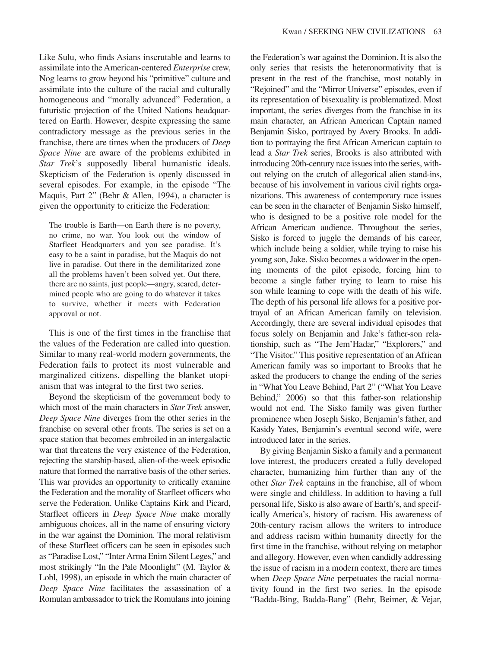Like Sulu, who finds Asians inscrutable and learns to assimilate into the American-centered *Enterprise* crew, Nog learns to grow beyond his "primitive" culture and assimilate into the culture of the racial and culturally homogeneous and "morally advanced" Federation, a futuristic projection of the United Nations headquartered on Earth. However, despite expressing the same contradictory message as the previous series in the franchise, there are times when the producers of *Deep Space Nine* are aware of the problems exhibited in *Star Trek*'s supposedly liberal humanistic ideals. Skepticism of the Federation is openly discussed in several episodes. For example, in the episode "The Maquis, Part 2" (Behr & Allen, 1994), a character is given the opportunity to criticize the Federation:

The trouble is Earth—on Earth there is no poverty, no crime, no war. You look out the window of Starfleet Headquarters and you see paradise. It's easy to be a saint in paradise, but the Maquis do not live in paradise. Out there in the demilitarized zone all the problems haven't been solved yet. Out there, there are no saints, just people—angry, scared, determined people who are going to do whatever it takes to survive, whether it meets with Federation approval or not.

This is one of the first times in the franchise that the values of the Federation are called into question. Similar to many real-world modern governments, the Federation fails to protect its most vulnerable and marginalized citizens, dispelling the blanket utopianism that was integral to the first two series.

Beyond the skepticism of the government body to which most of the main characters in *Star Trek* answer, *Deep Space Nine* diverges from the other series in the franchise on several other fronts. The series is set on a space station that becomes embroiled in an intergalactic war that threatens the very existence of the Federation, rejecting the starship-based, alien-of-the-week episodic nature that formed the narrative basis of the other series. This war provides an opportunity to critically examine the Federation and the morality of Starfleet officers who serve the Federation. Unlike Captains Kirk and Picard, Starfleet officers in *Deep Space Nine* make morally ambiguous choices, all in the name of ensuring victory in the war against the Dominion. The moral relativism of these Starfleet officers can be seen in episodes such as "Paradise Lost," "Inter Arma Enim Silent Leges," and most strikingly "In the Pale Moonlight" (M. Taylor & Lobl, 1998), an episode in which the main character of *Deep Space Nine* facilitates the assassination of a Romulan ambassador to trick the Romulans into joining the Federation's war against the Dominion. It is also the only series that resists the heteronormativity that is present in the rest of the franchise, most notably in "Rejoined" and the "Mirror Universe" episodes, even if its representation of bisexuality is problematized. Most important, the series diverges from the franchise in its main character, an African American Captain named Benjamin Sisko, portrayed by Avery Brooks. In addition to portraying the first African American captain to lead a *Star Trek* series, Brooks is also attributed with introducing 20th-century race issues into the series, without relying on the crutch of allegorical alien stand-ins, because of his involvement in various civil rights organizations. This awareness of contemporary race issues can be seen in the character of Benjamin Sisko himself, who is designed to be a positive role model for the African American audience. Throughout the series, Sisko is forced to juggle the demands of his career, which include being a soldier, while trying to raise his young son, Jake. Sisko becomes a widower in the opening moments of the pilot episode, forcing him to become a single father trying to learn to raise his son while learning to cope with the death of his wife. The depth of his personal life allows for a positive portrayal of an African American family on television. Accordingly, there are several individual episodes that focus solely on Benjamin and Jake's father-son relationship, such as "The Jem'Hadar," "Explorers," and "The Visitor." This positive representation of an African American family was so important to Brooks that he asked the producers to change the ending of the series in "What You Leave Behind, Part 2" ("What You Leave Behind," 2006) so that this father-son relationship would not end. The Sisko family was given further prominence when Joseph Sisko, Benjamin's father, and Kasidy Yates, Benjamin's eventual second wife, were introduced later in the series.

By giving Benjamin Sisko a family and a permanent love interest, the producers created a fully developed character, humanizing him further than any of the other *Star Trek* captains in the franchise, all of whom were single and childless. In addition to having a full personal life, Sisko is also aware of Earth's, and specifically America's, history of racism. His awareness of 20th-century racism allows the writers to introduce and address racism within humanity directly for the first time in the franchise, without relying on metaphor and allegory. However, even when candidly addressing the issue of racism in a modern context, there are times when *Deep Space Nine* perpetuates the racial normativity found in the first two series. In the episode "Badda-Bing, Badda-Bang" (Behr, Beimer, & Vejar,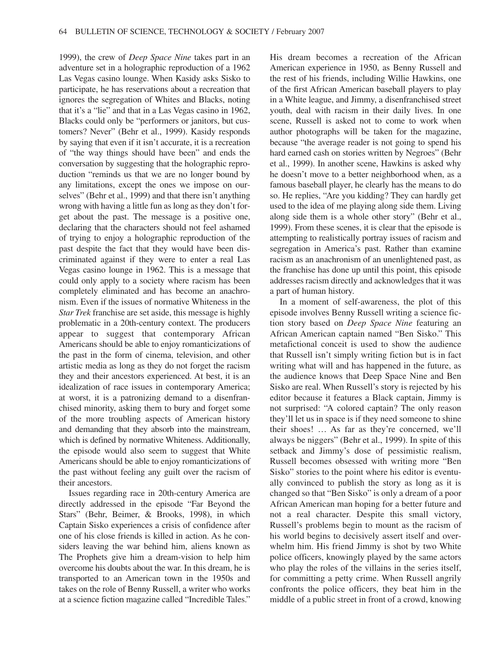1999), the crew of *Deep Space Nine* takes part in an adventure set in a holographic reproduction of a 1962 Las Vegas casino lounge. When Kasidy asks Sisko to participate, he has reservations about a recreation that ignores the segregation of Whites and Blacks, noting that it's a "lie" and that in a Las Vegas casino in 1962, Blacks could only be "performers or janitors, but customers? Never" (Behr et al., 1999). Kasidy responds by saying that even if it isn't accurate, it is a recreation of "the way things should have been" and ends the conversation by suggesting that the holographic reproduction "reminds us that we are no longer bound by any limitations, except the ones we impose on ourselves" (Behr et al., 1999) and that there isn't anything wrong with having a little fun as long as they don't forget about the past. The message is a positive one, declaring that the characters should not feel ashamed of trying to enjoy a holographic reproduction of the past despite the fact that they would have been discriminated against if they were to enter a real Las Vegas casino lounge in 1962. This is a message that could only apply to a society where racism has been completely eliminated and has become an anachronism. Even if the issues of normative Whiteness in the *Star Trek* franchise are set aside, this message is highly problematic in a 20th-century context. The producers appear to suggest that contemporary African Americans should be able to enjoy romanticizations of the past in the form of cinema, television, and other artistic media as long as they do not forget the racism they and their ancestors experienced. At best, it is an idealization of race issues in contemporary America; at worst, it is a patronizing demand to a disenfranchised minority, asking them to bury and forget some of the more troubling aspects of American history and demanding that they absorb into the mainstream, which is defined by normative Whiteness. Additionally, the episode would also seem to suggest that White Americans should be able to enjoy romanticizations of the past without feeling any guilt over the racism of their ancestors.

Issues regarding race in 20th-century America are directly addressed in the episode "Far Beyond the Stars" (Behr, Beimer, & Brooks, 1998), in which Captain Sisko experiences a crisis of confidence after one of his close friends is killed in action. As he considers leaving the war behind him, aliens known as The Prophets give him a dream-vision to help him overcome his doubts about the war. In this dream, he is transported to an American town in the 1950s and takes on the role of Benny Russell, a writer who works at a science fiction magazine called "Incredible Tales."

His dream becomes a recreation of the African American experience in 1950, as Benny Russell and the rest of his friends, including Willie Hawkins, one of the first African American baseball players to play in a White league, and Jimmy, a disenfranchised street youth, deal with racism in their daily lives. In one scene, Russell is asked not to come to work when author photographs will be taken for the magazine, because "the average reader is not going to spend his hard earned cash on stories written by Negroes" (Behr et al., 1999). In another scene, Hawkins is asked why he doesn't move to a better neighborhood when, as a famous baseball player, he clearly has the means to do so. He replies, "Are you kidding? They can hardly get used to the idea of me playing along side them. Living along side them is a whole other story" (Behr et al., 1999). From these scenes, it is clear that the episode is attempting to realistically portray issues of racism and segregation in America's past. Rather than examine racism as an anachronism of an unenlightened past, as the franchise has done up until this point, this episode addresses racism directly and acknowledges that it was a part of human history.

In a moment of self-awareness, the plot of this episode involves Benny Russell writing a science fiction story based on *Deep Space Nine* featuring an African American captain named "Ben Sisko." This metafictional conceit is used to show the audience that Russell isn't simply writing fiction but is in fact writing what will and has happened in the future, as the audience knows that Deep Space Nine and Ben Sisko are real. When Russell's story is rejected by his editor because it features a Black captain, Jimmy is not surprised: "A colored captain? The only reason they'll let us in space is if they need someone to shine their shoes! … As far as they're concerned, we'll always be niggers" (Behr et al., 1999). In spite of this setback and Jimmy's dose of pessimistic realism, Russell becomes obsessed with writing more "Ben Sisko" stories to the point where his editor is eventually convinced to publish the story as long as it is changed so that "Ben Sisko" is only a dream of a poor African American man hoping for a better future and not a real character. Despite this small victory, Russell's problems begin to mount as the racism of his world begins to decisively assert itself and overwhelm him. His friend Jimmy is shot by two White police officers, knowingly played by the same actors who play the roles of the villains in the series itself, for committing a petty crime. When Russell angrily confronts the police officers, they beat him in the middle of a public street in front of a crowd, knowing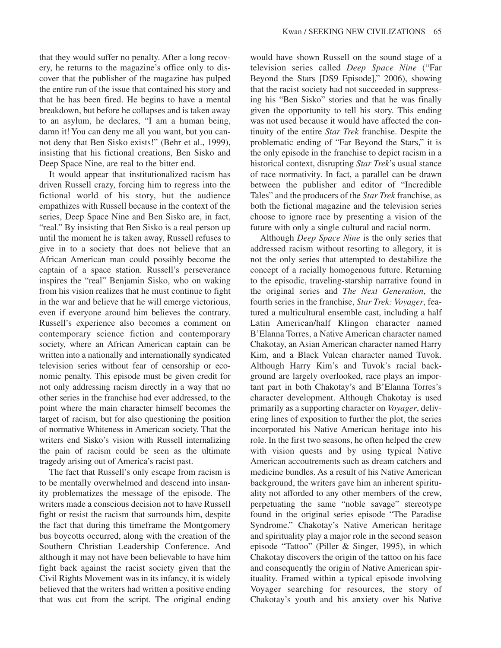that they would suffer no penalty. After a long recovery, he returns to the magazine's office only to discover that the publisher of the magazine has pulped the entire run of the issue that contained his story and that he has been fired. He begins to have a mental breakdown, but before he collapses and is taken away to an asylum, he declares, "I am a human being, damn it! You can deny me all you want, but you cannot deny that Ben Sisko exists!" (Behr et al., 1999), insisting that his fictional creations, Ben Sisko and Deep Space Nine, are real to the bitter end.

It would appear that institutionalized racism has driven Russell crazy, forcing him to regress into the fictional world of his story, but the audience empathizes with Russell because in the context of the series, Deep Space Nine and Ben Sisko are, in fact, "real." By insisting that Ben Sisko is a real person up until the moment he is taken away, Russell refuses to give in to a society that does not believe that an African American man could possibly become the captain of a space station. Russell's perseverance inspires the "real" Benjamin Sisko, who on waking from his vision realizes that he must continue to fight in the war and believe that he will emerge victorious, even if everyone around him believes the contrary. Russell's experience also becomes a comment on contemporary science fiction and contemporary society, where an African American captain can be written into a nationally and internationally syndicated television series without fear of censorship or economic penalty. This episode must be given credit for not only addressing racism directly in a way that no other series in the franchise had ever addressed, to the point where the main character himself becomes the target of racism, but for also questioning the position of normative Whiteness in American society. That the writers end Sisko's vision with Russell internalizing the pain of racism could be seen as the ultimate tragedy arising out of America's racist past.

The fact that Russell's only escape from racism is to be mentally overwhelmed and descend into insanity problematizes the message of the episode. The writers made a conscious decision not to have Russell fight or resist the racism that surrounds him, despite the fact that during this timeframe the Montgomery bus boycotts occurred, along with the creation of the Southern Christian Leadership Conference. And although it may not have been believable to have him fight back against the racist society given that the Civil Rights Movement was in its infancy, it is widely believed that the writers had written a positive ending that was cut from the script. The original ending

would have shown Russell on the sound stage of a television series called *Deep Space Nine* ("Far Beyond the Stars [DS9 Episode]," 2006), showing that the racist society had not succeeded in suppressing his "Ben Sisko" stories and that he was finally given the opportunity to tell his story. This ending was not used because it would have affected the continuity of the entire *Star Trek* franchise. Despite the problematic ending of "Far Beyond the Stars," it is the only episode in the franchise to depict racism in a historical context, disrupting *Star Trek*'s usual stance of race normativity. In fact, a parallel can be drawn between the publisher and editor of "Incredible Tales" and the producers of the *Star Trek* franchise, as both the fictional magazine and the television series choose to ignore race by presenting a vision of the future with only a single cultural and racial norm.

Although *Deep Space Nine* is the only series that addressed racism without resorting to allegory, it is not the only series that attempted to destabilize the concept of a racially homogenous future. Returning to the episodic, traveling-starship narrative found in the original series and *The Next Generation*, the fourth series in the franchise, *Star Trek: Voyager*, featured a multicultural ensemble cast, including a half Latin American/half Klingon character named B'Elanna Torres, a Native American character named Chakotay, an Asian American character named Harry Kim, and a Black Vulcan character named Tuvok. Although Harry Kim's and Tuvok's racial background are largely overlooked, race plays an important part in both Chakotay's and B'Elanna Torres's character development. Although Chakotay is used primarily as a supporting character on *Voyager*, delivering lines of exposition to further the plot, the series incorporated his Native American heritage into his role. In the first two seasons, he often helped the crew with vision quests and by using typical Native American accoutrements such as dream catchers and medicine bundles. As a result of his Native American background, the writers gave him an inherent spirituality not afforded to any other members of the crew, perpetuating the same "noble savage" stereotype found in the original series episode "The Paradise Syndrome." Chakotay's Native American heritage and spirituality play a major role in the second season episode "Tattoo" (Piller & Singer, 1995), in which Chakotay discovers the origin of the tattoo on his face and consequently the origin of Native American spirituality. Framed within a typical episode involving Voyager searching for resources, the story of Chakotay's youth and his anxiety over his Native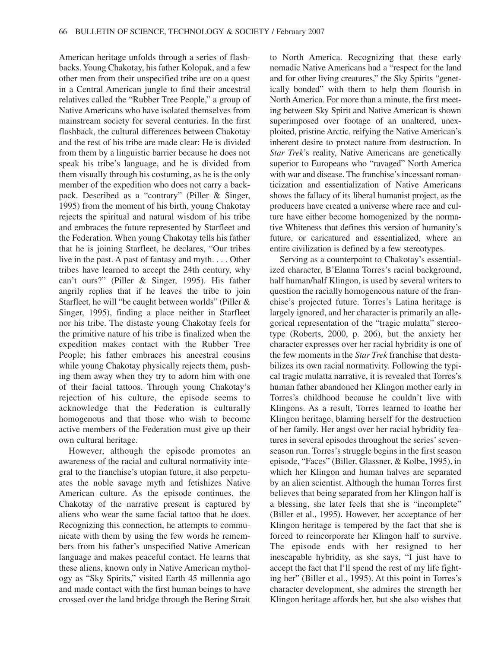American heritage unfolds through a series of flashbacks. Young Chakotay, his father Kolopak, and a few other men from their unspecified tribe are on a quest in a Central American jungle to find their ancestral relatives called the "Rubber Tree People," a group of Native Americans who have isolated themselves from mainstream society for several centuries. In the first flashback, the cultural differences between Chakotay and the rest of his tribe are made clear: He is divided from them by a linguistic barrier because he does not speak his tribe's language, and he is divided from them visually through his costuming, as he is the only member of the expedition who does not carry a backpack. Described as a "contrary" (Piller & Singer, 1995) from the moment of his birth, young Chakotay rejects the spiritual and natural wisdom of his tribe and embraces the future represented by Starfleet and the Federation. When young Chakotay tells his father that he is joining Starfleet, he declares, "Our tribes live in the past. A past of fantasy and myth. . . . Other tribes have learned to accept the 24th century, why can't ours?" (Piller & Singer, 1995). His father angrily replies that if he leaves the tribe to join Starfleet, he will "be caught between worlds" (Piller & Singer, 1995), finding a place neither in Starfleet nor his tribe. The distaste young Chakotay feels for the primitive nature of his tribe is finalized when the expedition makes contact with the Rubber Tree People; his father embraces his ancestral cousins while young Chakotay physically rejects them, pushing them away when they try to adorn him with one of their facial tattoos. Through young Chakotay's rejection of his culture, the episode seems to acknowledge that the Federation is culturally homogenous and that those who wish to become active members of the Federation must give up their own cultural heritage.

However, although the episode promotes an awareness of the racial and cultural normativity integral to the franchise's utopian future, it also perpetuates the noble savage myth and fetishizes Native American culture. As the episode continues, the Chakotay of the narrative present is captured by aliens who wear the same facial tattoo that he does. Recognizing this connection, he attempts to communicate with them by using the few words he remembers from his father's unspecified Native American language and makes peaceful contact. He learns that these aliens, known only in Native American mythology as "Sky Spirits," visited Earth 45 millennia ago and made contact with the first human beings to have crossed over the land bridge through the Bering Strait to North America. Recognizing that these early nomadic Native Americans had a "respect for the land and for other living creatures," the Sky Spirits "genetically bonded" with them to help them flourish in North America. For more than a minute, the first meeting between Sky Spirit and Native American is shown superimposed over footage of an unaltered, unexploited, pristine Arctic, reifying the Native American's inherent desire to protect nature from destruction. In *Star Trek*'s reality, Native Americans are genetically superior to Europeans who "ravaged" North America with war and disease. The franchise's incessant romanticization and essentialization of Native Americans shows the fallacy of its liberal humanist project, as the producers have created a universe where race and culture have either become homogenized by the normative Whiteness that defines this version of humanity's future, or caricatured and essentialized, where an entire civilization is defined by a few stereotypes.

Serving as a counterpoint to Chakotay's essentialized character, B'Elanna Torres's racial background, half human/half Klingon, is used by several writers to question the racially homogeneous nature of the franchise's projected future. Torres's Latina heritage is largely ignored, and her character is primarily an allegorical representation of the "tragic mulatta" stereotype (Roberts, 2000, p. 206), but the anxiety her character expresses over her racial hybridity is one of the few moments in the *Star Trek* franchise that destabilizes its own racial normativity. Following the typical tragic mulatta narrative, it is revealed that Torres's human father abandoned her Klingon mother early in Torres's childhood because he couldn't live with Klingons. As a result, Torres learned to loathe her Klingon heritage, blaming herself for the destruction of her family. Her angst over her racial hybridity features in several episodes throughout the series' sevenseason run. Torres's struggle begins in the first season episode, "Faces" (Biller, Glassner, & Kolbe, 1995), in which her Klingon and human halves are separated by an alien scientist. Although the human Torres first believes that being separated from her Klingon half is a blessing, she later feels that she is "incomplete" (Biller et al., 1995). However, her acceptance of her Klingon heritage is tempered by the fact that she is forced to reincorporate her Klingon half to survive. The episode ends with her resigned to her inescapable hybridity, as she says, "I just have to accept the fact that I'll spend the rest of my life fighting her" (Biller et al., 1995). At this point in Torres's character development, she admires the strength her Klingon heritage affords her, but she also wishes that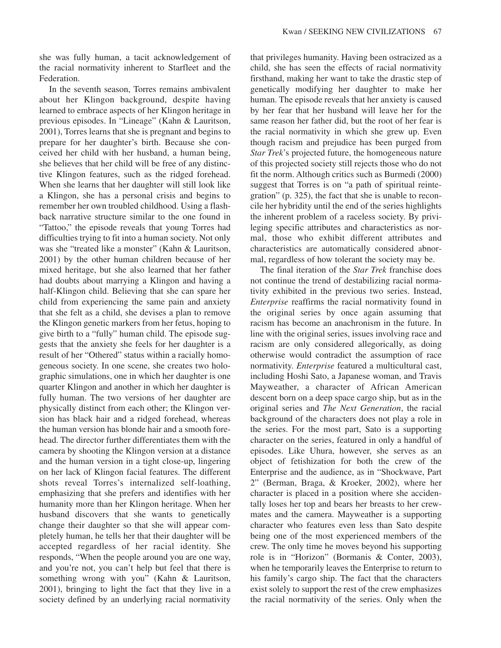she was fully human, a tacit acknowledgement of the racial normativity inherent to Starfleet and the Federation.

In the seventh season, Torres remains ambivalent about her Klingon background, despite having learned to embrace aspects of her Klingon heritage in previous episodes. In "Lineage" (Kahn & Lauritson, 2001), Torres learns that she is pregnant and begins to prepare for her daughter's birth. Because she conceived her child with her husband, a human being, she believes that her child will be free of any distinctive Klingon features, such as the ridged forehead. When she learns that her daughter will still look like a Klingon, she has a personal crisis and begins to remember her own troubled childhood. Using a flashback narrative structure similar to the one found in "Tattoo," the episode reveals that young Torres had difficulties trying to fit into a human society. Not only was she "treated like a monster" (Kahn & Lauritson, 2001) by the other human children because of her mixed heritage, but she also learned that her father had doubts about marrying a Klingon and having a half-Klingon child. Believing that she can spare her child from experiencing the same pain and anxiety that she felt as a child, she devises a plan to remove the Klingon genetic markers from her fetus, hoping to give birth to a "fully" human child. The episode suggests that the anxiety she feels for her daughter is a result of her "Othered" status within a racially homogeneous society. In one scene, she creates two holographic simulations, one in which her daughter is one quarter Klingon and another in which her daughter is fully human. The two versions of her daughter are physically distinct from each other; the Klingon version has black hair and a ridged forehead, whereas the human version has blonde hair and a smooth forehead. The director further differentiates them with the camera by shooting the Klingon version at a distance and the human version in a tight close-up, lingering on her lack of Klingon facial features. The different shots reveal Torres's internalized self-loathing, emphasizing that she prefers and identifies with her humanity more than her Klingon heritage. When her husband discovers that she wants to genetically change their daughter so that she will appear completely human, he tells her that their daughter will be accepted regardless of her racial identity. She responds, "When the people around you are one way, and you're not, you can't help but feel that there is something wrong with you" (Kahn & Lauritson, 2001), bringing to light the fact that they live in a society defined by an underlying racial normativity

that privileges humanity. Having been ostracized as a child, she has seen the effects of racial normativity firsthand, making her want to take the drastic step of genetically modifying her daughter to make her human. The episode reveals that her anxiety is caused by her fear that her husband will leave her for the same reason her father did, but the root of her fear is the racial normativity in which she grew up. Even though racism and prejudice has been purged from *Star Trek*'s projected future, the homogeneous nature of this projected society still rejects those who do not fit the norm. Although critics such as Burmedi (2000) suggest that Torres is on "a path of spiritual reintegration" (p. 325), the fact that she is unable to reconcile her hybridity until the end of the series highlights the inherent problem of a raceless society. By privileging specific attributes and characteristics as normal, those who exhibit different attributes and characteristics are automatically considered abnormal, regardless of how tolerant the society may be.

The final iteration of the *Star Trek* franchise does not continue the trend of destabilizing racial normativity exhibited in the previous two series. Instead, *Enterprise* reaffirms the racial normativity found in the original series by once again assuming that racism has become an anachronism in the future. In line with the original series, issues involving race and racism are only considered allegorically, as doing otherwise would contradict the assumption of race normativity. *Enterprise* featured a multicultural cast, including Hoshi Sato, a Japanese woman, and Travis Mayweather, a character of African American descent born on a deep space cargo ship, but as in the original series and *The Next Generation*, the racial background of the characters does not play a role in the series. For the most part, Sato is a supporting character on the series, featured in only a handful of episodes. Like Uhura, however, she serves as an object of fetishization for both the crew of the Enterprise and the audience, as in "Shockwave, Part 2" (Berman, Braga, & Kroeker, 2002), where her character is placed in a position where she accidentally loses her top and bears her breasts to her crewmates and the camera. Mayweather is a supporting character who features even less than Sato despite being one of the most experienced members of the crew. The only time he moves beyond his supporting role is in "Horizon" (Bormanis & Conter, 2003), when he temporarily leaves the Enterprise to return to his family's cargo ship. The fact that the characters exist solely to support the rest of the crew emphasizes the racial normativity of the series. Only when the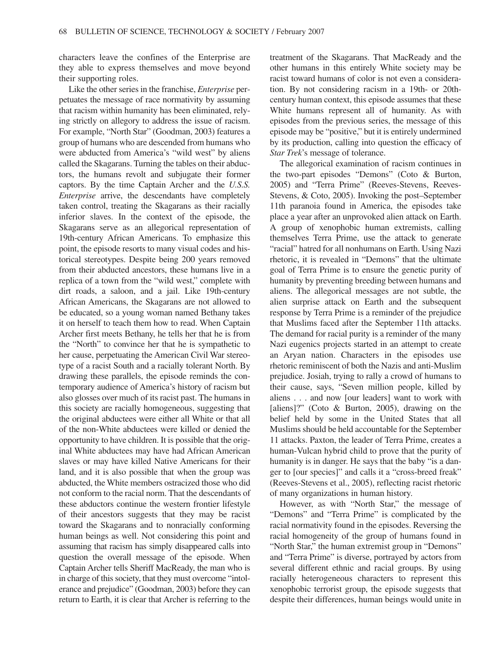characters leave the confines of the Enterprise are they able to express themselves and move beyond their supporting roles.

Like the other series in the franchise, *Enterprise* perpetuates the message of race normativity by assuming that racism within humanity has been eliminated, relying strictly on allegory to address the issue of racism. For example, "North Star" (Goodman, 2003) features a group of humans who are descended from humans who were abducted from America's "wild west" by aliens called the Skagarans. Turning the tables on their abductors, the humans revolt and subjugate their former captors. By the time Captain Archer and the *U.S.S. Enterprise* arrive, the descendants have completely taken control, treating the Skagarans as their racially inferior slaves. In the context of the episode, the Skagarans serve as an allegorical representation of 19th-century African Americans. To emphasize this point, the episode resorts to many visual codes and historical stereotypes. Despite being 200 years removed from their abducted ancestors, these humans live in a replica of a town from the "wild west," complete with dirt roads, a saloon, and a jail. Like 19th-century African Americans, the Skagarans are not allowed to be educated, so a young woman named Bethany takes it on herself to teach them how to read. When Captain Archer first meets Bethany, he tells her that he is from the "North" to convince her that he is sympathetic to her cause, perpetuating the American Civil War stereotype of a racist South and a racially tolerant North. By drawing these parallels, the episode reminds the contemporary audience of America's history of racism but also glosses over much of its racist past. The humans in this society are racially homogeneous, suggesting that the original abductees were either all White or that all of the non-White abductees were killed or denied the opportunity to have children. It is possible that the original White abductees may have had African American slaves or may have killed Native Americans for their land, and it is also possible that when the group was abducted, the White members ostracized those who did not conform to the racial norm. That the descendants of these abductors continue the western frontier lifestyle of their ancestors suggests that they may be racist toward the Skagarans and to nonracially conforming human beings as well. Not considering this point and assuming that racism has simply disappeared calls into question the overall message of the episode. When Captain Archer tells Sheriff MacReady, the man who is in charge of this society, that they must overcome "intolerance and prejudice" (Goodman, 2003) before they can return to Earth, it is clear that Archer is referring to the

treatment of the Skagarans. That MacReady and the other humans in this entirely White society may be racist toward humans of color is not even a consideration. By not considering racism in a 19th- or 20thcentury human context, this episode assumes that these White humans represent all of humanity. As with episodes from the previous series, the message of this episode may be "positive," but it is entirely undermined by its production, calling into question the efficacy of *Star Trek*'s message of tolerance.

The allegorical examination of racism continues in the two-part episodes "Demons" (Coto & Burton, 2005) and "Terra Prime" (Reeves-Stevens, Reeves-Stevens, & Coto, 2005). Invoking the post–September 11th paranoia found in America, the episodes take place a year after an unprovoked alien attack on Earth. A group of xenophobic human extremists, calling themselves Terra Prime, use the attack to generate "racial" hatred for all nonhumans on Earth. Using Nazi rhetoric, it is revealed in "Demons" that the ultimate goal of Terra Prime is to ensure the genetic purity of humanity by preventing breeding between humans and aliens. The allegorical messages are not subtle, the alien surprise attack on Earth and the subsequent response by Terra Prime is a reminder of the prejudice that Muslims faced after the September 11th attacks. The demand for racial purity is a reminder of the many Nazi eugenics projects started in an attempt to create an Aryan nation. Characters in the episodes use rhetoric reminiscent of both the Nazis and anti-Muslim prejudice. Josiah, trying to rally a crowd of humans to their cause, says, "Seven million people, killed by aliens . . . and now [our leaders] want to work with [aliens]?" (Coto & Burton, 2005), drawing on the belief held by some in the United States that all Muslims should be held accountable for the September 11 attacks. Paxton, the leader of Terra Prime, creates a human-Vulcan hybrid child to prove that the purity of humanity is in danger. He says that the baby "is a danger to [our species]" and calls it a "cross-breed freak" (Reeves-Stevens et al., 2005), reflecting racist rhetoric of many organizations in human history.

However, as with "North Star," the message of "Demons" and "Terra Prime" is complicated by the racial normativity found in the episodes. Reversing the racial homogeneity of the group of humans found in "North Star," the human extremist group in "Demons" and "Terra Prime" is diverse, portrayed by actors from several different ethnic and racial groups. By using racially heterogeneous characters to represent this xenophobic terrorist group, the episode suggests that despite their differences, human beings would unite in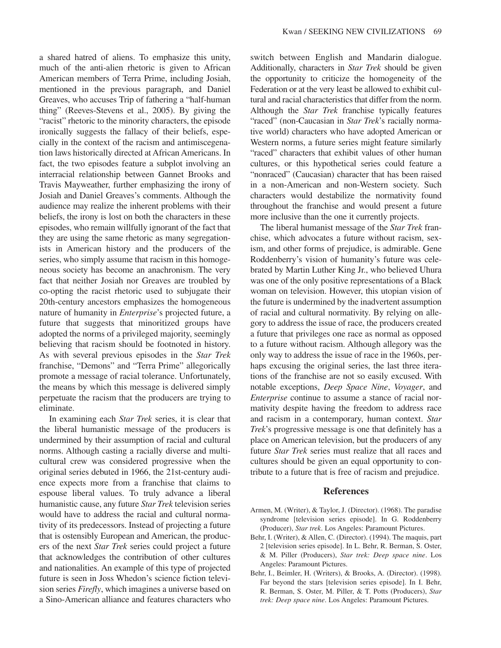a shared hatred of aliens. To emphasize this unity, much of the anti-alien rhetoric is given to African American members of Terra Prime, including Josiah, mentioned in the previous paragraph, and Daniel Greaves, who accuses Trip of fathering a "half-human thing" (Reeves-Stevens et al., 2005). By giving the "racist" rhetoric to the minority characters, the episode ironically suggests the fallacy of their beliefs, especially in the context of the racism and antimiscegenation laws historically directed at African Americans. In fact, the two episodes feature a subplot involving an interracial relationship between Gannet Brooks and Travis Mayweather, further emphasizing the irony of Josiah and Daniel Greaves's comments. Although the audience may realize the inherent problems with their beliefs, the irony is lost on both the characters in these episodes, who remain willfully ignorant of the fact that they are using the same rhetoric as many segregationists in American history and the producers of the series, who simply assume that racism in this homogeneous society has become an anachronism. The very fact that neither Josiah nor Greaves are troubled by co-opting the racist rhetoric used to subjugate their 20th-century ancestors emphasizes the homogeneous nature of humanity in *Enterprise*'s projected future, a future that suggests that minoritized groups have adopted the norms of a privileged majority, seemingly believing that racism should be footnoted in history. As with several previous episodes in the *Star Trek* franchise, "Demons" and "Terra Prime" allegorically promote a message of racial tolerance. Unfortunately, the means by which this message is delivered simply perpetuate the racism that the producers are trying to eliminate.

In examining each *Star Trek* series, it is clear that the liberal humanistic message of the producers is undermined by their assumption of racial and cultural norms. Although casting a racially diverse and multicultural crew was considered progressive when the original series debuted in 1966, the 21st-century audience expects more from a franchise that claims to espouse liberal values. To truly advance a liberal humanistic cause, any future *Star Trek* television series would have to address the racial and cultural normativity of its predecessors. Instead of projecting a future that is ostensibly European and American, the producers of the next *Star Trek* series could project a future that acknowledges the contribution of other cultures and nationalities. An example of this type of projected future is seen in Joss Whedon's science fiction television series *Firefly*, which imagines a universe based on a Sino-American alliance and features characters who switch between English and Mandarin dialogue. Additionally, characters in *Star Trek* should be given the opportunity to criticize the homogeneity of the Federation or at the very least be allowed to exhibit cultural and racial characteristics that differ from the norm. Although the *Star Trek* franchise typically features "raced" (non-Caucasian in *Star Trek*'s racially normative world) characters who have adopted American or Western norms, a future series might feature similarly "raced" characters that exhibit values of other human cultures, or this hypothetical series could feature a "nonraced" (Caucasian) character that has been raised in a non-American and non-Western society. Such characters would destabilize the normativity found throughout the franchise and would present a future more inclusive than the one it currently projects.

The liberal humanist message of the *Star Trek* franchise, which advocates a future without racism, sexism, and other forms of prejudice, is admirable. Gene Roddenberry's vision of humanity's future was celebrated by Martin Luther King Jr., who believed Uhura was one of the only positive representations of a Black woman on television. However, this utopian vision of the future is undermined by the inadvertent assumption of racial and cultural normativity. By relying on allegory to address the issue of race, the producers created a future that privileges one race as normal as opposed to a future without racism. Although allegory was the only way to address the issue of race in the 1960s, perhaps excusing the original series, the last three iterations of the franchise are not so easily excused. With notable exceptions, *Deep Space Nine*, *Voyager*, and *Enterprise* continue to assume a stance of racial normativity despite having the freedom to address race and racism in a contemporary, human context. *Star Trek*'s progressive message is one that definitely has a place on American television, but the producers of any future *Star Trek* series must realize that all races and cultures should be given an equal opportunity to contribute to a future that is free of racism and prejudice.

## **References**

- Armen, M. (Writer), & Taylor, J. (Director). (1968). The paradise syndrome [television series episode]. In G. Roddenberry (Producer), *Star trek*. Los Angeles: Paramount Pictures.
- Behr, I. (Writer), & Allen, C. (Director). (1994). The maquis, part 2 [television series episode]. In L. Behr, R. Berman, S. Oster, & M. Piller (Producers), *Star trek: Deep space nine*. Los Angeles: Paramount Pictures.
- Behr, I., Beimler, H. (Writers), & Brooks, A. (Director). (1998). Far beyond the stars [television series episode]. In I. Behr, R. Berman, S. Oster, M. Piller, & T. Potts (Producers), *Star trek: Deep space nine*. Los Angeles: Paramount Pictures.